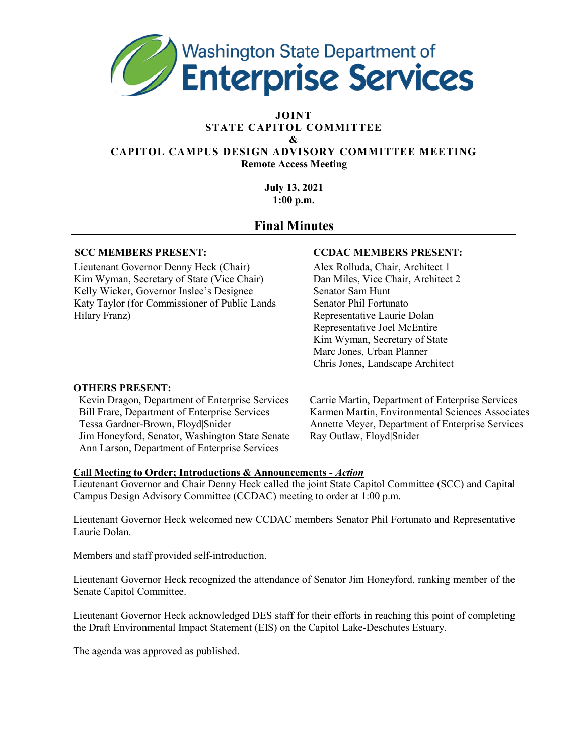

#### **JOINT STATE CAPITOL COMMITTEE &**

#### **CAPITOL CAMPUS DESIGN ADVISORY COMMITTEE MEETING Remote Access Meeting**

**July 13, 2021 1:00 p.m.** 

# **Final Minutes**

Lieutenant Governor Denny Heck (Chair) Alex Rolluda, Chair, Architect 1 Kim Wyman, Secretary of State (Vice Chair) Dan Miles, Vice Chair, Architect 2 Kelly Wicker, Governor Inslee's Designee Senator Sam Hunt Katy Taylor (for Commissioner of Public Lands Senator Phil Fortunato Hilary Franz) Representative Laurie Dolan

#### **SCC MEMBERS PRESENT: CCDAC MEMBERS PRESENT:**

Representative Joel McEntire Kim Wyman, Secretary of State Marc Jones, Urban Planner Chris Jones, Landscape Architect

#### **OTHERS PRESENT:**

Kevin Dragon, Department of Enterprise Services Carrie Martin, Department of Enterprise Services Jim Honeyford, Senator, Washington State Senate Ray Outlaw, Floyd|Snider Ann Larson, Department of Enterprise Services

Bill Frare, Department of Enterprise Services Karmen Martin, Environmental Sciences Associates Tessa Gardner-Brown, Floyd|Snider Annette Meyer, Department of Enterprise Services

## **Call Meeting to Order; Introductions & Announcements -** *Action*

Lieutenant Governor and Chair Denny Heck called the joint State Capitol Committee (SCC) and Capital Campus Design Advisory Committee (CCDAC) meeting to order at 1:00 p.m.

Lieutenant Governor Heck welcomed new CCDAC members Senator Phil Fortunato and Representative Laurie Dolan.

Members and staff provided self-introduction.

Lieutenant Governor Heck recognized the attendance of Senator Jim Honeyford, ranking member of the Senate Capitol Committee.

Lieutenant Governor Heck acknowledged DES staff for their efforts in reaching this point of completing the Draft Environmental Impact Statement (EIS) on the Capitol Lake-Deschutes Estuary.

The agenda was approved as published.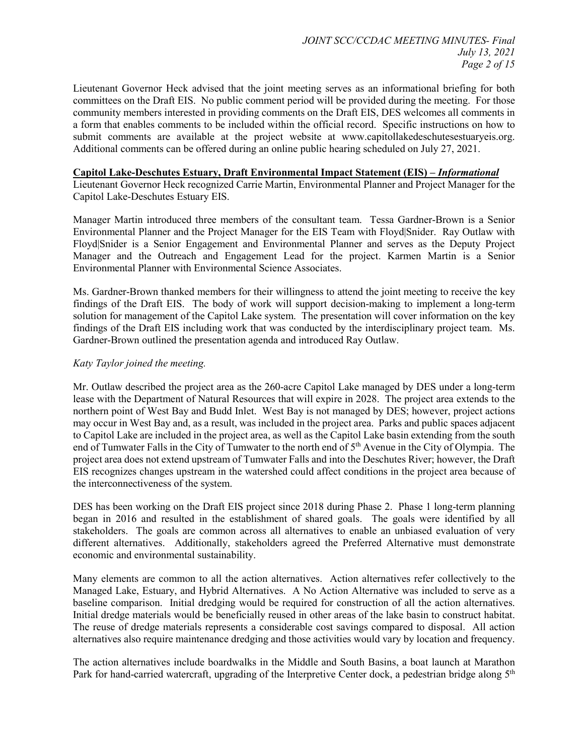Lieutenant Governor Heck advised that the joint meeting serves as an informational briefing for both committees on the Draft EIS. No public comment period will be provided during the meeting. For those community members interested in providing comments on the Draft EIS, DES welcomes all comments in a form that enables comments to be included within the official record. Specific instructions on how to submit comments are available at the project website at www.capitollakedeschutesestuaryeis.org. Additional comments can be offered during an online public hearing scheduled on July 27, 2021.

#### **Capitol Lake-Deschutes Estuary, Draft Environmental Impact Statement (EIS) –** *Informational*

Lieutenant Governor Heck recognized Carrie Martin, Environmental Planner and Project Manager for the Capitol Lake-Deschutes Estuary EIS.

Manager Martin introduced three members of the consultant team. Tessa Gardner-Brown is a Senior Environmental Planner and the Project Manager for the EIS Team with Floyd|Snider. Ray Outlaw with Floyd|Snider is a Senior Engagement and Environmental Planner and serves as the Deputy Project Manager and the Outreach and Engagement Lead for the project. Karmen Martin is a Senior Environmental Planner with Environmental Science Associates.

Ms. Gardner-Brown thanked members for their willingness to attend the joint meeting to receive the key findings of the Draft EIS. The body of work will support decision-making to implement a long-term solution for management of the Capitol Lake system. The presentation will cover information on the key findings of the Draft EIS including work that was conducted by the interdisciplinary project team. Ms. Gardner-Brown outlined the presentation agenda and introduced Ray Outlaw.

#### *Katy Taylor joined the meeting.*

Mr. Outlaw described the project area as the 260-acre Capitol Lake managed by DES under a long-term lease with the Department of Natural Resources that will expire in 2028. The project area extends to the northern point of West Bay and Budd Inlet. West Bay is not managed by DES; however, project actions may occur in West Bay and, as a result, was included in the project area. Parks and public spaces adjacent to Capitol Lake are included in the project area, as well as the Capitol Lake basin extending from the south end of Tumwater Falls in the City of Tumwater to the north end of 5<sup>th</sup> Avenue in the City of Olympia. The project area does not extend upstream of Tumwater Falls and into the Deschutes River; however, the Draft EIS recognizes changes upstream in the watershed could affect conditions in the project area because of the interconnectiveness of the system.

DES has been working on the Draft EIS project since 2018 during Phase 2. Phase 1 long-term planning began in 2016 and resulted in the establishment of shared goals. The goals were identified by all stakeholders. The goals are common across all alternatives to enable an unbiased evaluation of very different alternatives. Additionally, stakeholders agreed the Preferred Alternative must demonstrate economic and environmental sustainability.

Many elements are common to all the action alternatives. Action alternatives refer collectively to the Managed Lake, Estuary, and Hybrid Alternatives. A No Action Alternative was included to serve as a baseline comparison. Initial dredging would be required for construction of all the action alternatives. Initial dredge materials would be beneficially reused in other areas of the lake basin to construct habitat. The reuse of dredge materials represents a considerable cost savings compared to disposal. All action alternatives also require maintenance dredging and those activities would vary by location and frequency.

The action alternatives include boardwalks in the Middle and South Basins, a boat launch at Marathon Park for hand-carried watercraft, upgrading of the Interpretive Center dock, a pedestrian bridge along 5<sup>th</sup>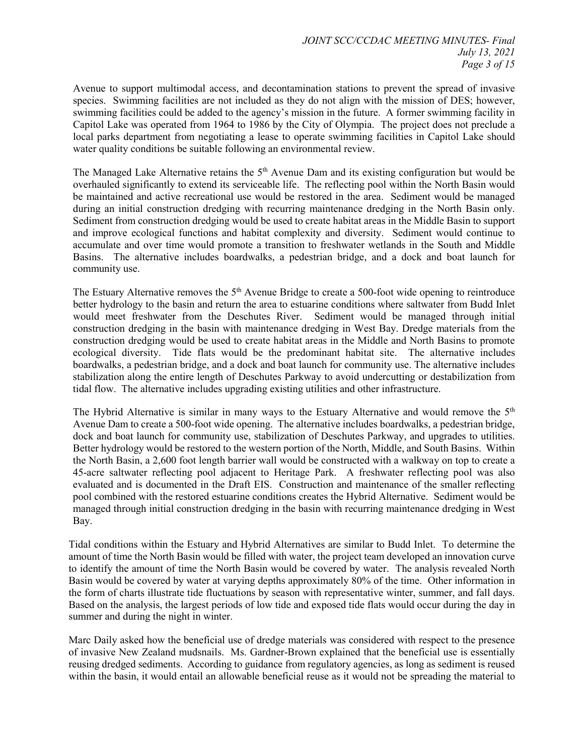Avenue to support multimodal access, and decontamination stations to prevent the spread of invasive species. Swimming facilities are not included as they do not align with the mission of DES; however, swimming facilities could be added to the agency's mission in the future. A former swimming facility in Capitol Lake was operated from 1964 to 1986 by the City of Olympia. The project does not preclude a local parks department from negotiating a lease to operate swimming facilities in Capitol Lake should water quality conditions be suitable following an environmental review.

The Managed Lake Alternative retains the  $5<sup>th</sup>$  Avenue Dam and its existing configuration but would be overhauled significantly to extend its serviceable life. The reflecting pool within the North Basin would be maintained and active recreational use would be restored in the area. Sediment would be managed during an initial construction dredging with recurring maintenance dredging in the North Basin only. Sediment from construction dredging would be used to create habitat areas in the Middle Basin to support and improve ecological functions and habitat complexity and diversity. Sediment would continue to accumulate and over time would promote a transition to freshwater wetlands in the South and Middle Basins. The alternative includes boardwalks, a pedestrian bridge, and a dock and boat launch for community use.

The Estuary Alternative removes the 5<sup>th</sup> Avenue Bridge to create a 500-foot wide opening to reintroduce better hydrology to the basin and return the area to estuarine conditions where saltwater from Budd Inlet would meet freshwater from the Deschutes River. Sediment would be managed through initial construction dredging in the basin with maintenance dredging in West Bay. Dredge materials from the construction dredging would be used to create habitat areas in the Middle and North Basins to promote ecological diversity. Tide flats would be the predominant habitat site. The alternative includes boardwalks, a pedestrian bridge, and a dock and boat launch for community use. The alternative includes stabilization along the entire length of Deschutes Parkway to avoid undercutting or destabilization from tidal flow. The alternative includes upgrading existing utilities and other infrastructure.

The Hybrid Alternative is similar in many ways to the Estuary Alternative and would remove the  $5<sup>th</sup>$ Avenue Dam to create a 500-foot wide opening. The alternative includes boardwalks, a pedestrian bridge, dock and boat launch for community use, stabilization of Deschutes Parkway, and upgrades to utilities. Better hydrology would be restored to the western portion of the North, Middle, and South Basins. Within the North Basin, a 2,600 foot length barrier wall would be constructed with a walkway on top to create a 45-acre saltwater reflecting pool adjacent to Heritage Park. A freshwater reflecting pool was also evaluated and is documented in the Draft EIS. Construction and maintenance of the smaller reflecting pool combined with the restored estuarine conditions creates the Hybrid Alternative. Sediment would be managed through initial construction dredging in the basin with recurring maintenance dredging in West Bay.

Tidal conditions within the Estuary and Hybrid Alternatives are similar to Budd Inlet. To determine the amount of time the North Basin would be filled with water, the project team developed an innovation curve to identify the amount of time the North Basin would be covered by water. The analysis revealed North Basin would be covered by water at varying depths approximately 80% of the time. Other information in the form of charts illustrate tide fluctuations by season with representative winter, summer, and fall days. Based on the analysis, the largest periods of low tide and exposed tide flats would occur during the day in summer and during the night in winter.

Marc Daily asked how the beneficial use of dredge materials was considered with respect to the presence of invasive New Zealand mudsnails. Ms. Gardner-Brown explained that the beneficial use is essentially reusing dredged sediments. According to guidance from regulatory agencies, as long as sediment is reused within the basin, it would entail an allowable beneficial reuse as it would not be spreading the material to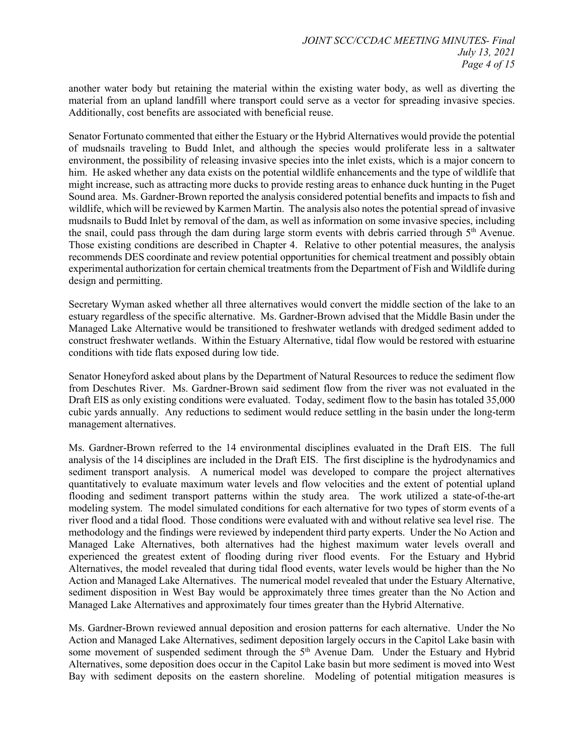another water body but retaining the material within the existing water body, as well as diverting the material from an upland landfill where transport could serve as a vector for spreading invasive species. Additionally, cost benefits are associated with beneficial reuse.

Senator Fortunato commented that either the Estuary or the Hybrid Alternatives would provide the potential of mudsnails traveling to Budd Inlet, and although the species would proliferate less in a saltwater environment, the possibility of releasing invasive species into the inlet exists, which is a major concern to him. He asked whether any data exists on the potential wildlife enhancements and the type of wildlife that might increase, such as attracting more ducks to provide resting areas to enhance duck hunting in the Puget Sound area. Ms. Gardner-Brown reported the analysis considered potential benefits and impacts to fish and wildlife, which will be reviewed by Karmen Martin. The analysis also notes the potential spread of invasive mudsnails to Budd Inlet by removal of the dam, as well as information on some invasive species, including the snail, could pass through the dam during large storm events with debris carried through  $5<sup>th</sup>$  Avenue. Those existing conditions are described in Chapter 4. Relative to other potential measures, the analysis recommends DES coordinate and review potential opportunities for chemical treatment and possibly obtain experimental authorization for certain chemical treatments from the Department of Fish and Wildlife during design and permitting.

Secretary Wyman asked whether all three alternatives would convert the middle section of the lake to an estuary regardless of the specific alternative. Ms. Gardner-Brown advised that the Middle Basin under the Managed Lake Alternative would be transitioned to freshwater wetlands with dredged sediment added to construct freshwater wetlands. Within the Estuary Alternative, tidal flow would be restored with estuarine conditions with tide flats exposed during low tide.

Senator Honeyford asked about plans by the Department of Natural Resources to reduce the sediment flow from Deschutes River. Ms. Gardner-Brown said sediment flow from the river was not evaluated in the Draft EIS as only existing conditions were evaluated. Today, sediment flow to the basin has totaled 35,000 cubic yards annually. Any reductions to sediment would reduce settling in the basin under the long-term management alternatives.

Ms. Gardner-Brown referred to the 14 environmental disciplines evaluated in the Draft EIS. The full analysis of the 14 disciplines are included in the Draft EIS. The first discipline is the hydrodynamics and sediment transport analysis. A numerical model was developed to compare the project alternatives quantitatively to evaluate maximum water levels and flow velocities and the extent of potential upland flooding and sediment transport patterns within the study area. The work utilized a state-of-the-art modeling system. The model simulated conditions for each alternative for two types of storm events of a river flood and a tidal flood. Those conditions were evaluated with and without relative sea level rise. The methodology and the findings were reviewed by independent third party experts. Under the No Action and Managed Lake Alternatives, both alternatives had the highest maximum water levels overall and experienced the greatest extent of flooding during river flood events. For the Estuary and Hybrid Alternatives, the model revealed that during tidal flood events, water levels would be higher than the No Action and Managed Lake Alternatives. The numerical model revealed that under the Estuary Alternative, sediment disposition in West Bay would be approximately three times greater than the No Action and Managed Lake Alternatives and approximately four times greater than the Hybrid Alternative.

Ms. Gardner-Brown reviewed annual deposition and erosion patterns for each alternative. Under the No Action and Managed Lake Alternatives, sediment deposition largely occurs in the Capitol Lake basin with some movement of suspended sediment through the 5<sup>th</sup> Avenue Dam. Under the Estuary and Hybrid Alternatives, some deposition does occur in the Capitol Lake basin but more sediment is moved into West Bay with sediment deposits on the eastern shoreline. Modeling of potential mitigation measures is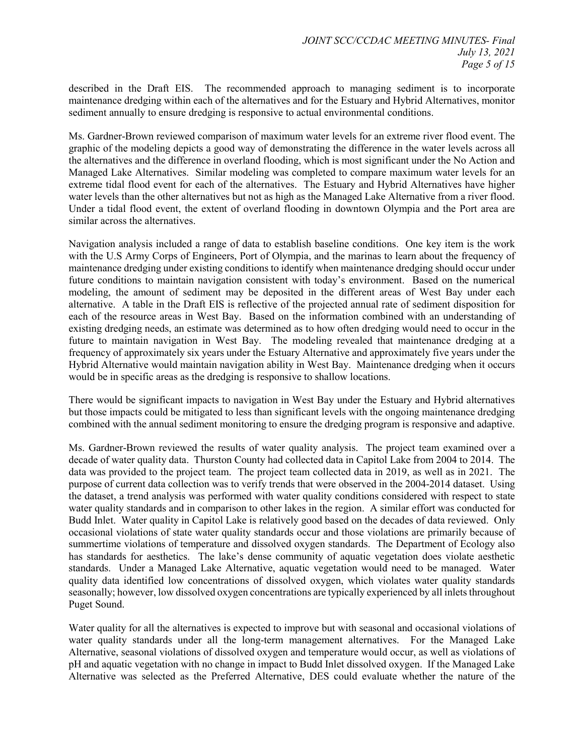described in the Draft EIS. The recommended approach to managing sediment is to incorporate maintenance dredging within each of the alternatives and for the Estuary and Hybrid Alternatives, monitor sediment annually to ensure dredging is responsive to actual environmental conditions.

Ms. Gardner-Brown reviewed comparison of maximum water levels for an extreme river flood event. The graphic of the modeling depicts a good way of demonstrating the difference in the water levels across all the alternatives and the difference in overland flooding, which is most significant under the No Action and Managed Lake Alternatives. Similar modeling was completed to compare maximum water levels for an extreme tidal flood event for each of the alternatives. The Estuary and Hybrid Alternatives have higher water levels than the other alternatives but not as high as the Managed Lake Alternative from a river flood. Under a tidal flood event, the extent of overland flooding in downtown Olympia and the Port area are similar across the alternatives.

Navigation analysis included a range of data to establish baseline conditions. One key item is the work with the U.S Army Corps of Engineers, Port of Olympia, and the marinas to learn about the frequency of maintenance dredging under existing conditions to identify when maintenance dredging should occur under future conditions to maintain navigation consistent with today's environment. Based on the numerical modeling, the amount of sediment may be deposited in the different areas of West Bay under each alternative. A table in the Draft EIS is reflective of the projected annual rate of sediment disposition for each of the resource areas in West Bay. Based on the information combined with an understanding of existing dredging needs, an estimate was determined as to how often dredging would need to occur in the future to maintain navigation in West Bay. The modeling revealed that maintenance dredging at a frequency of approximately six years under the Estuary Alternative and approximately five years under the Hybrid Alternative would maintain navigation ability in West Bay. Maintenance dredging when it occurs would be in specific areas as the dredging is responsive to shallow locations.

There would be significant impacts to navigation in West Bay under the Estuary and Hybrid alternatives but those impacts could be mitigated to less than significant levels with the ongoing maintenance dredging combined with the annual sediment monitoring to ensure the dredging program is responsive and adaptive.

Ms. Gardner-Brown reviewed the results of water quality analysis. The project team examined over a decade of water quality data. Thurston County had collected data in Capitol Lake from 2004 to 2014. The data was provided to the project team. The project team collected data in 2019, as well as in 2021. The purpose of current data collection was to verify trends that were observed in the 2004-2014 dataset. Using the dataset, a trend analysis was performed with water quality conditions considered with respect to state water quality standards and in comparison to other lakes in the region. A similar effort was conducted for Budd Inlet. Water quality in Capitol Lake is relatively good based on the decades of data reviewed. Only occasional violations of state water quality standards occur and those violations are primarily because of summertime violations of temperature and dissolved oxygen standards. The Department of Ecology also has standards for aesthetics. The lake's dense community of aquatic vegetation does violate aesthetic standards. Under a Managed Lake Alternative, aquatic vegetation would need to be managed. Water quality data identified low concentrations of dissolved oxygen, which violates water quality standards seasonally; however, low dissolved oxygen concentrations are typically experienced by all inlets throughout Puget Sound.

Water quality for all the alternatives is expected to improve but with seasonal and occasional violations of water quality standards under all the long-term management alternatives. For the Managed Lake Alternative, seasonal violations of dissolved oxygen and temperature would occur, as well as violations of pH and aquatic vegetation with no change in impact to Budd Inlet dissolved oxygen. If the Managed Lake Alternative was selected as the Preferred Alternative, DES could evaluate whether the nature of the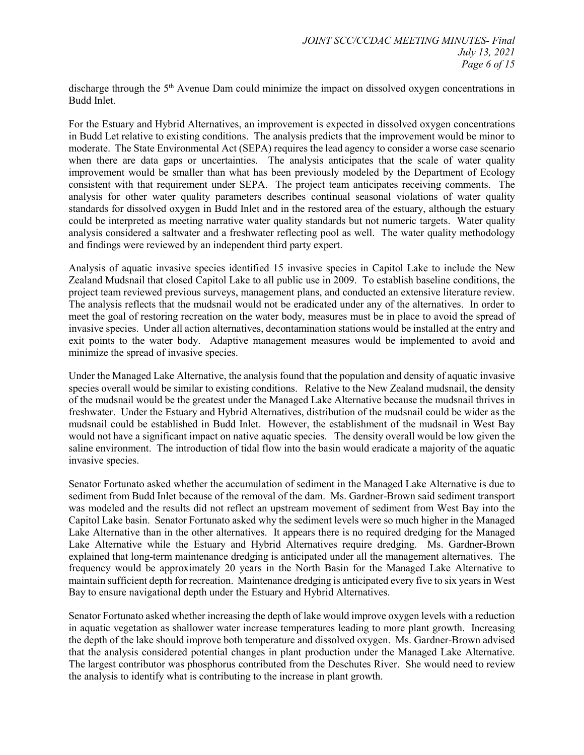discharge through the 5<sup>th</sup> Avenue Dam could minimize the impact on dissolved oxygen concentrations in Budd Inlet.

For the Estuary and Hybrid Alternatives, an improvement is expected in dissolved oxygen concentrations in Budd Let relative to existing conditions. The analysis predicts that the improvement would be minor to moderate. The State Environmental Act (SEPA) requires the lead agency to consider a worse case scenario when there are data gaps or uncertainties. The analysis anticipates that the scale of water quality improvement would be smaller than what has been previously modeled by the Department of Ecology consistent with that requirement under SEPA. The project team anticipates receiving comments. The analysis for other water quality parameters describes continual seasonal violations of water quality standards for dissolved oxygen in Budd Inlet and in the restored area of the estuary, although the estuary could be interpreted as meeting narrative water quality standards but not numeric targets. Water quality analysis considered a saltwater and a freshwater reflecting pool as well. The water quality methodology and findings were reviewed by an independent third party expert.

Analysis of aquatic invasive species identified 15 invasive species in Capitol Lake to include the New Zealand Mudsnail that closed Capitol Lake to all public use in 2009. To establish baseline conditions, the project team reviewed previous surveys, management plans, and conducted an extensive literature review. The analysis reflects that the mudsnail would not be eradicated under any of the alternatives. In order to meet the goal of restoring recreation on the water body, measures must be in place to avoid the spread of invasive species. Under all action alternatives, decontamination stations would be installed at the entry and exit points to the water body. Adaptive management measures would be implemented to avoid and minimize the spread of invasive species.

Under the Managed Lake Alternative, the analysis found that the population and density of aquatic invasive species overall would be similar to existing conditions. Relative to the New Zealand mudsnail, the density of the mudsnail would be the greatest under the Managed Lake Alternative because the mudsnail thrives in freshwater. Under the Estuary and Hybrid Alternatives, distribution of the mudsnail could be wider as the mudsnail could be established in Budd Inlet. However, the establishment of the mudsnail in West Bay would not have a significant impact on native aquatic species. The density overall would be low given the saline environment. The introduction of tidal flow into the basin would eradicate a majority of the aquatic invasive species.

Senator Fortunato asked whether the accumulation of sediment in the Managed Lake Alternative is due to sediment from Budd Inlet because of the removal of the dam. Ms. Gardner-Brown said sediment transport was modeled and the results did not reflect an upstream movement of sediment from West Bay into the Capitol Lake basin. Senator Fortunato asked why the sediment levels were so much higher in the Managed Lake Alternative than in the other alternatives. It appears there is no required dredging for the Managed Lake Alternative while the Estuary and Hybrid Alternatives require dredging. Ms. Gardner-Brown explained that long-term maintenance dredging is anticipated under all the management alternatives. The frequency would be approximately 20 years in the North Basin for the Managed Lake Alternative to maintain sufficient depth for recreation. Maintenance dredging is anticipated every five to six years in West Bay to ensure navigational depth under the Estuary and Hybrid Alternatives.

Senator Fortunato asked whether increasing the depth of lake would improve oxygen levels with a reduction in aquatic vegetation as shallower water increase temperatures leading to more plant growth. Increasing the depth of the lake should improve both temperature and dissolved oxygen. Ms. Gardner-Brown advised that the analysis considered potential changes in plant production under the Managed Lake Alternative. The largest contributor was phosphorus contributed from the Deschutes River. She would need to review the analysis to identify what is contributing to the increase in plant growth.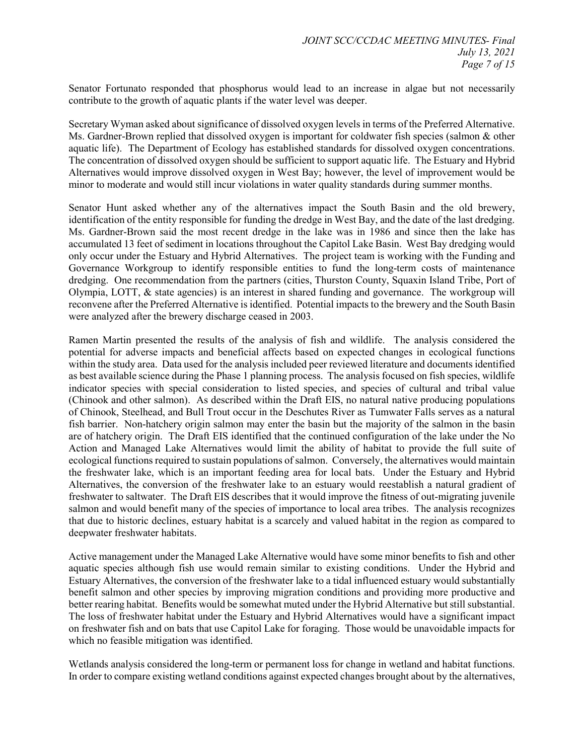Senator Fortunato responded that phosphorus would lead to an increase in algae but not necessarily contribute to the growth of aquatic plants if the water level was deeper.

Secretary Wyman asked about significance of dissolved oxygen levels in terms of the Preferred Alternative. Ms. Gardner-Brown replied that dissolved oxygen is important for coldwater fish species (salmon & other aquatic life). The Department of Ecology has established standards for dissolved oxygen concentrations. The concentration of dissolved oxygen should be sufficient to support aquatic life. The Estuary and Hybrid Alternatives would improve dissolved oxygen in West Bay; however, the level of improvement would be minor to moderate and would still incur violations in water quality standards during summer months.

Senator Hunt asked whether any of the alternatives impact the South Basin and the old brewery, identification of the entity responsible for funding the dredge in West Bay, and the date of the last dredging. Ms. Gardner-Brown said the most recent dredge in the lake was in 1986 and since then the lake has accumulated 13 feet of sediment in locations throughout the Capitol Lake Basin. West Bay dredging would only occur under the Estuary and Hybrid Alternatives. The project team is working with the Funding and Governance Workgroup to identify responsible entities to fund the long-term costs of maintenance dredging. One recommendation from the partners (cities, Thurston County, Squaxin Island Tribe, Port of Olympia, LOTT, & state agencies) is an interest in shared funding and governance. The workgroup will reconvene after the Preferred Alternative is identified. Potential impacts to the brewery and the South Basin were analyzed after the brewery discharge ceased in 2003.

Ramen Martin presented the results of the analysis of fish and wildlife. The analysis considered the potential for adverse impacts and beneficial affects based on expected changes in ecological functions within the study area. Data used for the analysis included peer reviewed literature and documents identified as best available science during the Phase 1 planning process. The analysis focused on fish species, wildlife indicator species with special consideration to listed species, and species of cultural and tribal value (Chinook and other salmon). As described within the Draft EIS, no natural native producing populations of Chinook, Steelhead, and Bull Trout occur in the Deschutes River as Tumwater Falls serves as a natural fish barrier. Non-hatchery origin salmon may enter the basin but the majority of the salmon in the basin are of hatchery origin. The Draft EIS identified that the continued configuration of the lake under the No Action and Managed Lake Alternatives would limit the ability of habitat to provide the full suite of ecological functions required to sustain populations of salmon. Conversely, the alternatives would maintain the freshwater lake, which is an important feeding area for local bats. Under the Estuary and Hybrid Alternatives, the conversion of the freshwater lake to an estuary would reestablish a natural gradient of freshwater to saltwater. The Draft EIS describes that it would improve the fitness of out-migrating juvenile salmon and would benefit many of the species of importance to local area tribes. The analysis recognizes that due to historic declines, estuary habitat is a scarcely and valued habitat in the region as compared to deepwater freshwater habitats.

Active management under the Managed Lake Alternative would have some minor benefits to fish and other aquatic species although fish use would remain similar to existing conditions. Under the Hybrid and Estuary Alternatives, the conversion of the freshwater lake to a tidal influenced estuary would substantially benefit salmon and other species by improving migration conditions and providing more productive and better rearing habitat. Benefits would be somewhat muted under the Hybrid Alternative but still substantial. The loss of freshwater habitat under the Estuary and Hybrid Alternatives would have a significant impact on freshwater fish and on bats that use Capitol Lake for foraging. Those would be unavoidable impacts for which no feasible mitigation was identified.

Wetlands analysis considered the long-term or permanent loss for change in wetland and habitat functions. In order to compare existing wetland conditions against expected changes brought about by the alternatives,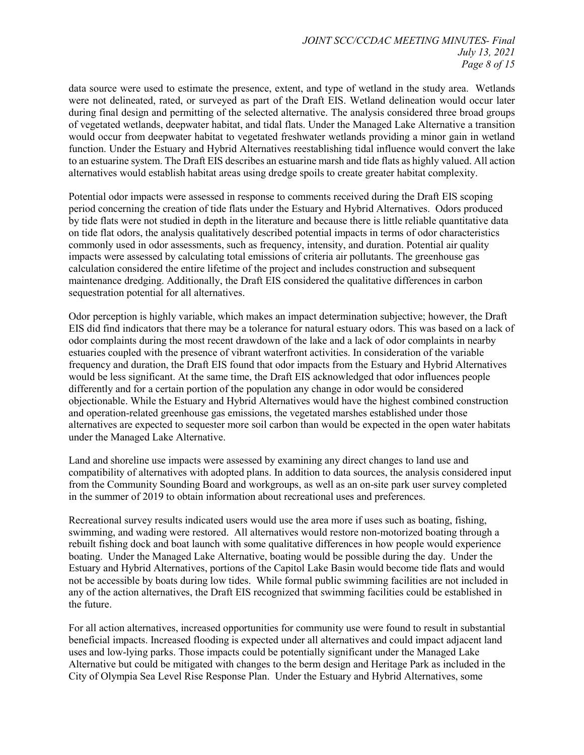data source were used to estimate the presence, extent, and type of wetland in the study area. Wetlands were not delineated, rated, or surveyed as part of the Draft EIS. Wetland delineation would occur later during final design and permitting of the selected alternative. The analysis considered three broad groups of vegetated wetlands, deepwater habitat, and tidal flats. Under the Managed Lake Alternative a transition would occur from deepwater habitat to vegetated freshwater wetlands providing a minor gain in wetland function. Under the Estuary and Hybrid Alternatives reestablishing tidal influence would convert the lake to an estuarine system. The Draft EIS describes an estuarine marsh and tide flats as highly valued. All action alternatives would establish habitat areas using dredge spoils to create greater habitat complexity.

Potential odor impacts were assessed in response to comments received during the Draft EIS scoping period concerning the creation of tide flats under the Estuary and Hybrid Alternatives. Odors produced by tide flats were not studied in depth in the literature and because there is little reliable quantitative data on tide flat odors, the analysis qualitatively described potential impacts in terms of odor characteristics commonly used in odor assessments, such as frequency, intensity, and duration. Potential air quality impacts were assessed by calculating total emissions of criteria air pollutants. The greenhouse gas calculation considered the entire lifetime of the project and includes construction and subsequent maintenance dredging. Additionally, the Draft EIS considered the qualitative differences in carbon sequestration potential for all alternatives.

Odor perception is highly variable, which makes an impact determination subjective; however, the Draft EIS did find indicators that there may be a tolerance for natural estuary odors. This was based on a lack of odor complaints during the most recent drawdown of the lake and a lack of odor complaints in nearby estuaries coupled with the presence of vibrant waterfront activities. In consideration of the variable frequency and duration, the Draft EIS found that odor impacts from the Estuary and Hybrid Alternatives would be less significant. At the same time, the Draft EIS acknowledged that odor influences people differently and for a certain portion of the population any change in odor would be considered objectionable. While the Estuary and Hybrid Alternatives would have the highest combined construction and operation-related greenhouse gas emissions, the vegetated marshes established under those alternatives are expected to sequester more soil carbon than would be expected in the open water habitats under the Managed Lake Alternative.

Land and shoreline use impacts were assessed by examining any direct changes to land use and compatibility of alternatives with adopted plans. In addition to data sources, the analysis considered input from the Community Sounding Board and workgroups, as well as an on-site park user survey completed in the summer of 2019 to obtain information about recreational uses and preferences.

Recreational survey results indicated users would use the area more if uses such as boating, fishing, swimming, and wading were restored. All alternatives would restore non-motorized boating through a rebuilt fishing dock and boat launch with some qualitative differences in how people would experience boating. Under the Managed Lake Alternative, boating would be possible during the day. Under the Estuary and Hybrid Alternatives, portions of the Capitol Lake Basin would become tide flats and would not be accessible by boats during low tides. While formal public swimming facilities are not included in any of the action alternatives, the Draft EIS recognized that swimming facilities could be established in the future.

For all action alternatives, increased opportunities for community use were found to result in substantial beneficial impacts. Increased flooding is expected under all alternatives and could impact adjacent land uses and low-lying parks. Those impacts could be potentially significant under the Managed Lake Alternative but could be mitigated with changes to the berm design and Heritage Park as included in the City of Olympia Sea Level Rise Response Plan. Under the Estuary and Hybrid Alternatives, some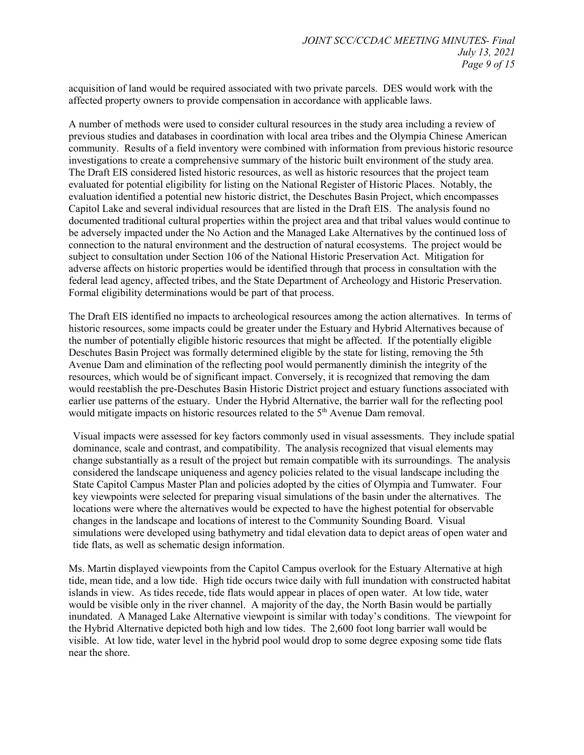acquisition of land would be required associated with two private parcels. DES would work with the affected property owners to provide compensation in accordance with applicable laws.

A number of methods were used to consider cultural resources in the study area including a review of previous studies and databases in coordination with local area tribes and the Olympia Chinese American community. Results of a field inventory were combined with information from previous historic resource investigations to create a comprehensive summary of the historic built environment of the study area. The Draft EIS considered listed historic resources, as well as historic resources that the project team evaluated for potential eligibility for listing on the National Register of Historic Places. Notably, the evaluation identified a potential new historic district, the Deschutes Basin Project, which encompasses Capitol Lake and several individual resources that are listed in the Draft EIS. The analysis found no documented traditional cultural properties within the project area and that tribal values would continue to be adversely impacted under the No Action and the Managed Lake Alternatives by the continued loss of connection to the natural environment and the destruction of natural ecosystems. The project would be subject to consultation under Section 106 of the National Historic Preservation Act. Mitigation for adverse affects on historic properties would be identified through that process in consultation with the federal lead agency, affected tribes, and the State Department of Archeology and Historic Preservation. Formal eligibility determinations would be part of that process.

The Draft EIS identified no impacts to archeological resources among the action alternatives. In terms of historic resources, some impacts could be greater under the Estuary and Hybrid Alternatives because of the number of potentially eligible historic resources that might be affected. If the potentially eligible Deschutes Basin Project was formally determined eligible by the state for listing, removing the 5th Avenue Dam and elimination of the reflecting pool would permanently diminish the integrity of the resources, which would be of significant impact. Conversely, it is recognized that removing the dam would reestablish the pre-Deschutes Basin Historic District project and estuary functions associated with earlier use patterns of the estuary. Under the Hybrid Alternative, the barrier wall for the reflecting pool would mitigate impacts on historic resources related to the 5<sup>th</sup> Avenue Dam removal.

Visual impacts were assessed for key factors commonly used in visual assessments. They include spatial dominance, scale and contrast, and compatibility. The analysis recognized that visual elements may change substantially as a result of the project but remain compatible with its surroundings. The analysis considered the landscape uniqueness and agency policies related to the visual landscape including the State Capitol Campus Master Plan and policies adopted by the cities of Olympia and Tumwater. Four key viewpoints were selected for preparing visual simulations of the basin under the alternatives. The locations were where the alternatives would be expected to have the highest potential for observable changes in the landscape and locations of interest to the Community Sounding Board. Visual simulations were developed using bathymetry and tidal elevation data to depict areas of open water and tide flats, as well as schematic design information.

Ms. Martin displayed viewpoints from the Capitol Campus overlook for the Estuary Alternative at high tide, mean tide, and a low tide. High tide occurs twice daily with full inundation with constructed habitat islands in view. As tides recede, tide flats would appear in places of open water. At low tide, water would be visible only in the river channel. A majority of the day, the North Basin would be partially inundated. A Managed Lake Alternative viewpoint is similar with today's conditions. The viewpoint for the Hybrid Alternative depicted both high and low tides. The 2,600 foot long barrier wall would be visible. At low tide, water level in the hybrid pool would drop to some degree exposing some tide flats near the shore.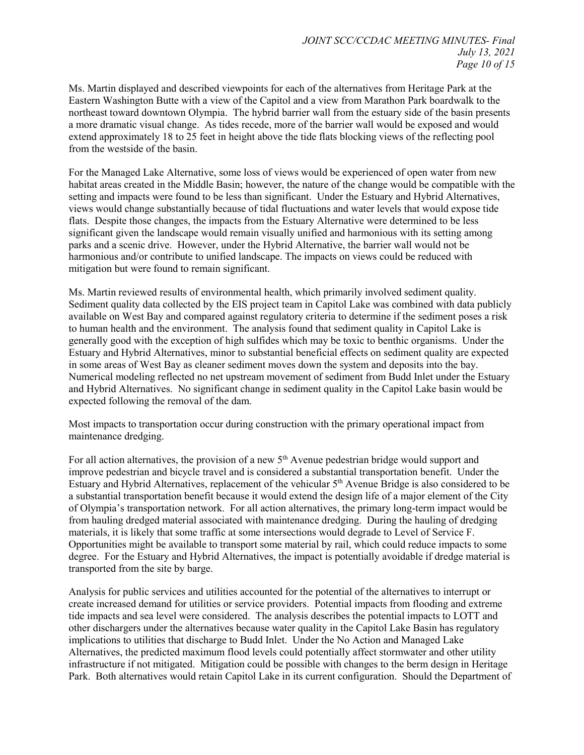Ms. Martin displayed and described viewpoints for each of the alternatives from Heritage Park at the Eastern Washington Butte with a view of the Capitol and a view from Marathon Park boardwalk to the northeast toward downtown Olympia. The hybrid barrier wall from the estuary side of the basin presents a more dramatic visual change. As tides recede, more of the barrier wall would be exposed and would extend approximately 18 to 25 feet in height above the tide flats blocking views of the reflecting pool from the westside of the basin.

For the Managed Lake Alternative, some loss of views would be experienced of open water from new habitat areas created in the Middle Basin; however, the nature of the change would be compatible with the setting and impacts were found to be less than significant. Under the Estuary and Hybrid Alternatives, views would change substantially because of tidal fluctuations and water levels that would expose tide flats. Despite those changes, the impacts from the Estuary Alternative were determined to be less significant given the landscape would remain visually unified and harmonious with its setting among parks and a scenic drive. However, under the Hybrid Alternative, the barrier wall would not be harmonious and/or contribute to unified landscape. The impacts on views could be reduced with mitigation but were found to remain significant.

Ms. Martin reviewed results of environmental health, which primarily involved sediment quality. Sediment quality data collected by the EIS project team in Capitol Lake was combined with data publicly available on West Bay and compared against regulatory criteria to determine if the sediment poses a risk to human health and the environment. The analysis found that sediment quality in Capitol Lake is generally good with the exception of high sulfides which may be toxic to benthic organisms. Under the Estuary and Hybrid Alternatives, minor to substantial beneficial effects on sediment quality are expected in some areas of West Bay as cleaner sediment moves down the system and deposits into the bay. Numerical modeling reflected no net upstream movement of sediment from Budd Inlet under the Estuary and Hybrid Alternatives. No significant change in sediment quality in the Capitol Lake basin would be expected following the removal of the dam.

Most impacts to transportation occur during construction with the primary operational impact from maintenance dredging.

For all action alternatives, the provision of a new  $5<sup>th</sup>$  Avenue pedestrian bridge would support and improve pedestrian and bicycle travel and is considered a substantial transportation benefit. Under the Estuary and Hybrid Alternatives, replacement of the vehicular  $5<sup>th</sup>$  Avenue Bridge is also considered to be a substantial transportation benefit because it would extend the design life of a major element of the City of Olympia's transportation network. For all action alternatives, the primary long-term impact would be from hauling dredged material associated with maintenance dredging. During the hauling of dredging materials, it is likely that some traffic at some intersections would degrade to Level of Service F. Opportunities might be available to transport some material by rail, which could reduce impacts to some degree. For the Estuary and Hybrid Alternatives, the impact is potentially avoidable if dredge material is transported from the site by barge.

Analysis for public services and utilities accounted for the potential of the alternatives to interrupt or create increased demand for utilities or service providers. Potential impacts from flooding and extreme tide impacts and sea level were considered. The analysis describes the potential impacts to LOTT and other dischargers under the alternatives because water quality in the Capitol Lake Basin has regulatory implications to utilities that discharge to Budd Inlet. Under the No Action and Managed Lake Alternatives, the predicted maximum flood levels could potentially affect stormwater and other utility infrastructure if not mitigated. Mitigation could be possible with changes to the berm design in Heritage Park. Both alternatives would retain Capitol Lake in its current configuration. Should the Department of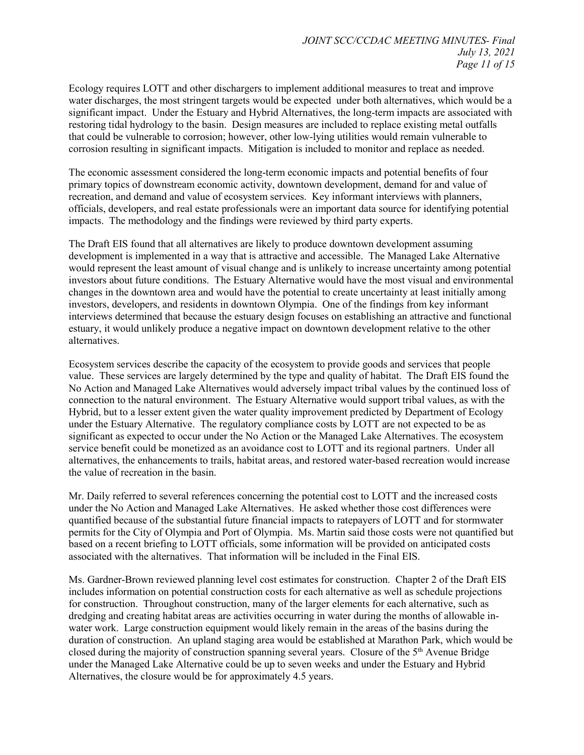Ecology requires LOTT and other dischargers to implement additional measures to treat and improve water discharges, the most stringent targets would be expected under both alternatives, which would be a significant impact. Under the Estuary and Hybrid Alternatives, the long-term impacts are associated with restoring tidal hydrology to the basin. Design measures are included to replace existing metal outfalls that could be vulnerable to corrosion; however, other low-lying utilities would remain vulnerable to corrosion resulting in significant impacts. Mitigation is included to monitor and replace as needed.

The economic assessment considered the long-term economic impacts and potential benefits of four primary topics of downstream economic activity, downtown development, demand for and value of recreation, and demand and value of ecosystem services. Key informant interviews with planners, officials, developers, and real estate professionals were an important data source for identifying potential impacts. The methodology and the findings were reviewed by third party experts.

The Draft EIS found that all alternatives are likely to produce downtown development assuming development is implemented in a way that is attractive and accessible. The Managed Lake Alternative would represent the least amount of visual change and is unlikely to increase uncertainty among potential investors about future conditions. The Estuary Alternative would have the most visual and environmental changes in the downtown area and would have the potential to create uncertainty at least initially among investors, developers, and residents in downtown Olympia. One of the findings from key informant interviews determined that because the estuary design focuses on establishing an attractive and functional estuary, it would unlikely produce a negative impact on downtown development relative to the other alternatives.

Ecosystem services describe the capacity of the ecosystem to provide goods and services that people value. These services are largely determined by the type and quality of habitat. The Draft EIS found the No Action and Managed Lake Alternatives would adversely impact tribal values by the continued loss of connection to the natural environment. The Estuary Alternative would support tribal values, as with the Hybrid, but to a lesser extent given the water quality improvement predicted by Department of Ecology under the Estuary Alternative. The regulatory compliance costs by LOTT are not expected to be as significant as expected to occur under the No Action or the Managed Lake Alternatives. The ecosystem service benefit could be monetized as an avoidance cost to LOTT and its regional partners. Under all alternatives, the enhancements to trails, habitat areas, and restored water-based recreation would increase the value of recreation in the basin.

Mr. Daily referred to several references concerning the potential cost to LOTT and the increased costs under the No Action and Managed Lake Alternatives. He asked whether those cost differences were quantified because of the substantial future financial impacts to ratepayers of LOTT and for stormwater permits for the City of Olympia and Port of Olympia. Ms. Martin said those costs were not quantified but based on a recent briefing to LOTT officials, some information will be provided on anticipated costs associated with the alternatives. That information will be included in the Final EIS.

Ms. Gardner-Brown reviewed planning level cost estimates for construction. Chapter 2 of the Draft EIS includes information on potential construction costs for each alternative as well as schedule projections for construction. Throughout construction, many of the larger elements for each alternative, such as dredging and creating habitat areas are activities occurring in water during the months of allowable inwater work. Large construction equipment would likely remain in the areas of the basins during the duration of construction. An upland staging area would be established at Marathon Park, which would be closed during the majority of construction spanning several years. Closure of the 5th Avenue Bridge under the Managed Lake Alternative could be up to seven weeks and under the Estuary and Hybrid Alternatives, the closure would be for approximately 4.5 years.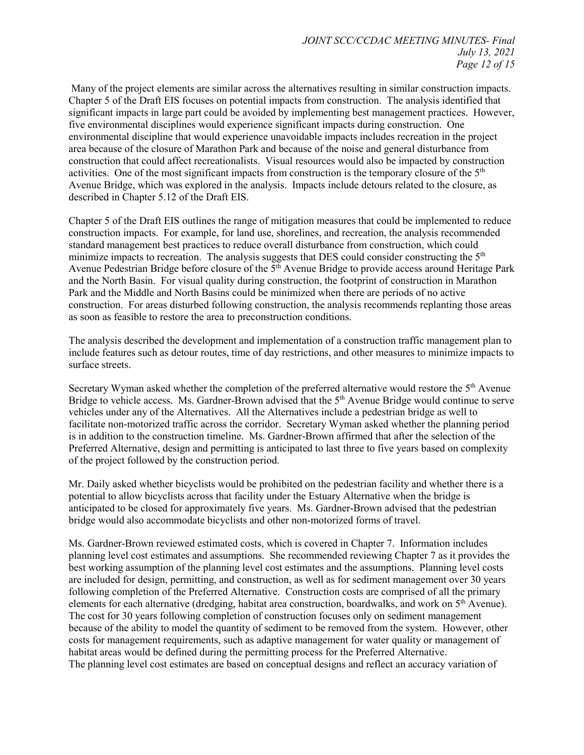Many of the project elements are similar across the alternatives resulting in similar construction impacts. Chapter 5 of the Draft EIS focuses on potential impacts from construction. The analysis identified that significant impacts in large part could be avoided by implementing best management practices. However, five environmental disciplines would experience significant impacts during construction. One environmental discipline that would experience unavoidable impacts includes recreation in the project area because of the closure of Marathon Park and because of the noise and general disturbance from construction that could affect recreationalists. Visual resources would also be impacted by construction activities. One of the most significant impacts from construction is the temporary closure of the 5<sup>th</sup> Avenue Bridge, which was explored in the analysis. Impacts include detours related to the closure, as described in Chapter 5.12 of the Draft EIS.

Chapter 5 of the Draft EIS outlines the range of mitigation measures that could be implemented to reduce construction impacts. For example, for land use, shorelines, and recreation, the analysis recommended standard management best practices to reduce overall disturbance from construction, which could minimize impacts to recreation. The analysis suggests that DES could consider constructing the  $5<sup>th</sup>$ Avenue Pedestrian Bridge before closure of the  $5<sup>th</sup>$  Avenue Bridge to provide access around Heritage Park and the North Basin. For visual quality during construction, the footprint of construction in Marathon Park and the Middle and North Basins could be minimized when there are periods of no active construction. For areas disturbed following construction, the analysis recommends replanting those areas as soon as feasible to restore the area to preconstruction conditions.

The analysis described the development and implementation of a construction traffic management plan to include features such as detour routes, time of day restrictions, and other measures to minimize impacts to surface streets.

Secretary Wyman asked whether the completion of the preferred alternative would restore the 5<sup>th</sup> Avenue Bridge to vehicle access. Ms. Gardner-Brown advised that the  $5<sup>th</sup>$  Avenue Bridge would continue to serve vehicles under any of the Alternatives. All the Alternatives include a pedestrian bridge as well to facilitate non-motorized traffic across the corridor. Secretary Wyman asked whether the planning period is in addition to the construction timeline. Ms. Gardner-Brown affirmed that after the selection of the Preferred Alternative, design and permitting is anticipated to last three to five years based on complexity of the project followed by the construction period.

Mr. Daily asked whether bicyclists would be prohibited on the pedestrian facility and whether there is a potential to allow bicyclists across that facility under the Estuary Alternative when the bridge is anticipated to be closed for approximately five years. Ms. Gardner-Brown advised that the pedestrian bridge would also accommodate bicyclists and other non-motorized forms of travel.

Ms. Gardner-Brown reviewed estimated costs, which is covered in Chapter 7. Information includes planning level cost estimates and assumptions. She recommended reviewing Chapter 7 as it provides the best working assumption of the planning level cost estimates and the assumptions. Planning level costs are included for design, permitting, and construction, as well as for sediment management over 30 years following completion of the Preferred Alternative. Construction costs are comprised of all the primary elements for each alternative (dredging, habitat area construction, boardwalks, and work on 5<sup>th</sup> Avenue). The cost for 30 years following completion of construction focuses only on sediment management because of the ability to model the quantity of sediment to be removed from the system. However, other costs for management requirements, such as adaptive management for water quality or management of habitat areas would be defined during the permitting process for the Preferred Alternative. The planning level cost estimates are based on conceptual designs and reflect an accuracy variation of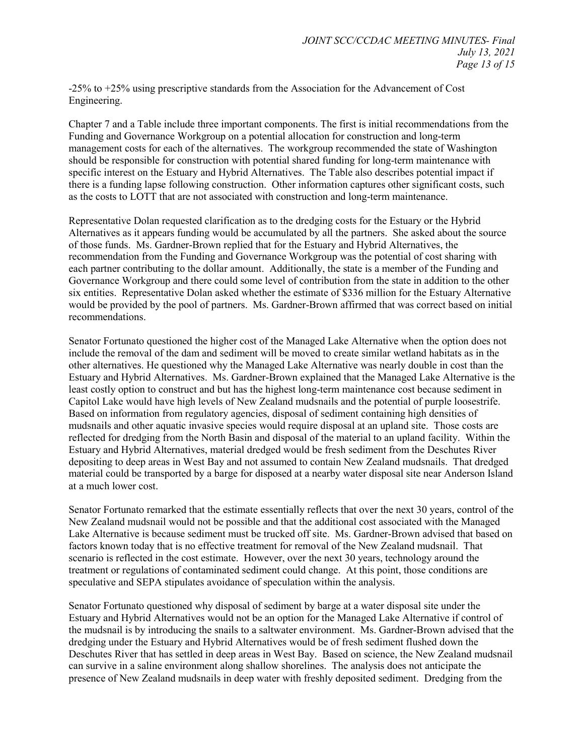-25% to +25% using prescriptive standards from the Association for the Advancement of Cost Engineering.

Chapter 7 and a Table include three important components. The first is initial recommendations from the Funding and Governance Workgroup on a potential allocation for construction and long-term management costs for each of the alternatives. The workgroup recommended the state of Washington should be responsible for construction with potential shared funding for long-term maintenance with specific interest on the Estuary and Hybrid Alternatives. The Table also describes potential impact if there is a funding lapse following construction. Other information captures other significant costs, such as the costs to LOTT that are not associated with construction and long-term maintenance.

Representative Dolan requested clarification as to the dredging costs for the Estuary or the Hybrid Alternatives as it appears funding would be accumulated by all the partners. She asked about the source of those funds. Ms. Gardner-Brown replied that for the Estuary and Hybrid Alternatives, the recommendation from the Funding and Governance Workgroup was the potential of cost sharing with each partner contributing to the dollar amount. Additionally, the state is a member of the Funding and Governance Workgroup and there could some level of contribution from the state in addition to the other six entities. Representative Dolan asked whether the estimate of \$336 million for the Estuary Alternative would be provided by the pool of partners. Ms. Gardner-Brown affirmed that was correct based on initial recommendations.

Senator Fortunato questioned the higher cost of the Managed Lake Alternative when the option does not include the removal of the dam and sediment will be moved to create similar wetland habitats as in the other alternatives. He questioned why the Managed Lake Alternative was nearly double in cost than the Estuary and Hybrid Alternatives. Ms. Gardner-Brown explained that the Managed Lake Alternative is the least costly option to construct and but has the highest long-term maintenance cost because sediment in Capitol Lake would have high levels of New Zealand mudsnails and the potential of purple loosestrife. Based on information from regulatory agencies, disposal of sediment containing high densities of mudsnails and other aquatic invasive species would require disposal at an upland site. Those costs are reflected for dredging from the North Basin and disposal of the material to an upland facility. Within the Estuary and Hybrid Alternatives, material dredged would be fresh sediment from the Deschutes River depositing to deep areas in West Bay and not assumed to contain New Zealand mudsnails. That dredged material could be transported by a barge for disposed at a nearby water disposal site near Anderson Island at a much lower cost.

Senator Fortunato remarked that the estimate essentially reflects that over the next 30 years, control of the New Zealand mudsnail would not be possible and that the additional cost associated with the Managed Lake Alternative is because sediment must be trucked off site. Ms. Gardner-Brown advised that based on factors known today that is no effective treatment for removal of the New Zealand mudsnail. That scenario is reflected in the cost estimate. However, over the next 30 years, technology around the treatment or regulations of contaminated sediment could change. At this point, those conditions are speculative and SEPA stipulates avoidance of speculation within the analysis.

Senator Fortunato questioned why disposal of sediment by barge at a water disposal site under the Estuary and Hybrid Alternatives would not be an option for the Managed Lake Alternative if control of the mudsnail is by introducing the snails to a saltwater environment. Ms. Gardner-Brown advised that the dredging under the Estuary and Hybrid Alternatives would be of fresh sediment flushed down the Deschutes River that has settled in deep areas in West Bay. Based on science, the New Zealand mudsnail can survive in a saline environment along shallow shorelines. The analysis does not anticipate the presence of New Zealand mudsnails in deep water with freshly deposited sediment. Dredging from the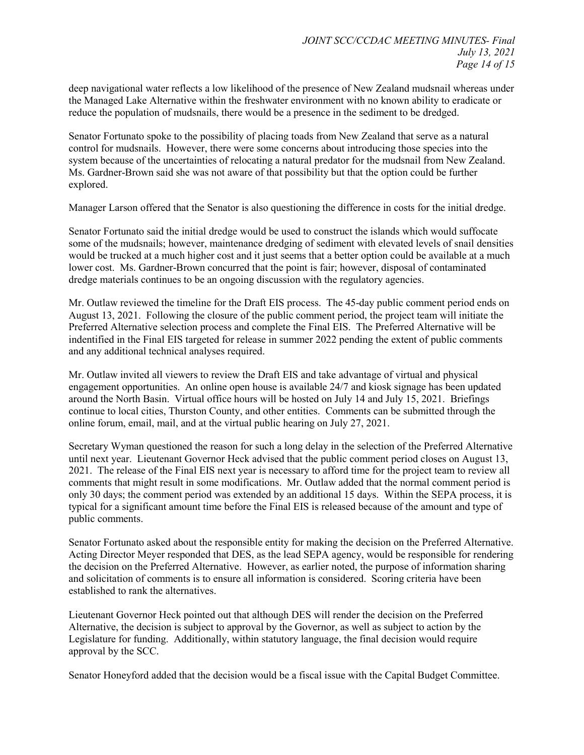deep navigational water reflects a low likelihood of the presence of New Zealand mudsnail whereas under the Managed Lake Alternative within the freshwater environment with no known ability to eradicate or reduce the population of mudsnails, there would be a presence in the sediment to be dredged.

Senator Fortunato spoke to the possibility of placing toads from New Zealand that serve as a natural control for mudsnails. However, there were some concerns about introducing those species into the system because of the uncertainties of relocating a natural predator for the mudsnail from New Zealand. Ms. Gardner-Brown said she was not aware of that possibility but that the option could be further explored.

Manager Larson offered that the Senator is also questioning the difference in costs for the initial dredge.

Senator Fortunato said the initial dredge would be used to construct the islands which would suffocate some of the mudsnails; however, maintenance dredging of sediment with elevated levels of snail densities would be trucked at a much higher cost and it just seems that a better option could be available at a much lower cost. Ms. Gardner-Brown concurred that the point is fair; however, disposal of contaminated dredge materials continues to be an ongoing discussion with the regulatory agencies.

Mr. Outlaw reviewed the timeline for the Draft EIS process. The 45-day public comment period ends on August 13, 2021. Following the closure of the public comment period, the project team will initiate the Preferred Alternative selection process and complete the Final EIS. The Preferred Alternative will be indentified in the Final EIS targeted for release in summer 2022 pending the extent of public comments and any additional technical analyses required.

Mr. Outlaw invited all viewers to review the Draft EIS and take advantage of virtual and physical engagement opportunities. An online open house is available 24/7 and kiosk signage has been updated around the North Basin. Virtual office hours will be hosted on July 14 and July 15, 2021. Briefings continue to local cities, Thurston County, and other entities. Comments can be submitted through the online forum, email, mail, and at the virtual public hearing on July 27, 2021.

Secretary Wyman questioned the reason for such a long delay in the selection of the Preferred Alternative until next year. Lieutenant Governor Heck advised that the public comment period closes on August 13, 2021. The release of the Final EIS next year is necessary to afford time for the project team to review all comments that might result in some modifications. Mr. Outlaw added that the normal comment period is only 30 days; the comment period was extended by an additional 15 days. Within the SEPA process, it is typical for a significant amount time before the Final EIS is released because of the amount and type of public comments.

Senator Fortunato asked about the responsible entity for making the decision on the Preferred Alternative. Acting Director Meyer responded that DES, as the lead SEPA agency, would be responsible for rendering the decision on the Preferred Alternative. However, as earlier noted, the purpose of information sharing and solicitation of comments is to ensure all information is considered. Scoring criteria have been established to rank the alternatives.

Lieutenant Governor Heck pointed out that although DES will render the decision on the Preferred Alternative, the decision is subject to approval by the Governor, as well as subject to action by the Legislature for funding. Additionally, within statutory language, the final decision would require approval by the SCC.

Senator Honeyford added that the decision would be a fiscal issue with the Capital Budget Committee.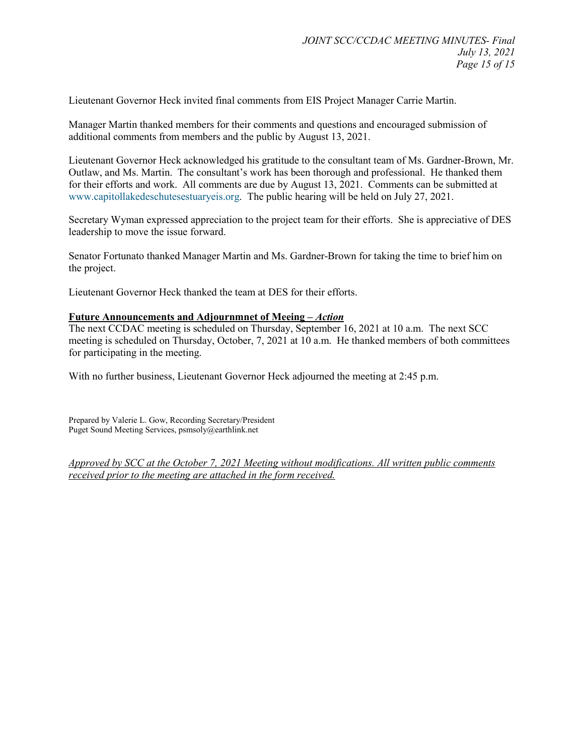Lieutenant Governor Heck invited final comments from EIS Project Manager Carrie Martin.

Manager Martin thanked members for their comments and questions and encouraged submission of additional comments from members and the public by August 13, 2021.

Lieutenant Governor Heck acknowledged his gratitude to the consultant team of Ms. Gardner-Brown, Mr. Outlaw, and Ms. Martin. The consultant's work has been thorough and professional. He thanked them for their efforts and work. All comments are due by August 13, 2021. Comments can be submitted at [www.capitollakedeschutesestuaryeis.org.](http://www.capitollakedeschutesestuaryeis.org/) The public hearing will be held on July 27, 2021.

Secretary Wyman expressed appreciation to the project team for their efforts. She is appreciative of DES leadership to move the issue forward.

Senator Fortunato thanked Manager Martin and Ms. Gardner-Brown for taking the time to brief him on the project.

Lieutenant Governor Heck thanked the team at DES for their efforts.

## **Future Announcements and Adjournmnet of Meeing –** *Action*

The next CCDAC meeting is scheduled on Thursday, September 16, 2021 at 10 a.m. The next SCC meeting is scheduled on Thursday, October, 7, 2021 at 10 a.m. He thanked members of both committees for participating in the meeting.

With no further business, Lieutenant Governor Heck adjourned the meeting at 2:45 p.m.

Prepared by Valerie L. Gow, Recording Secretary/President Puget Sound Meeting Services, psmsoly@earthlink.net

*Approved by SCC at the October 7, 2021 Meeting without modifications. All written public comments received prior to the meeting are attached in the form received.*